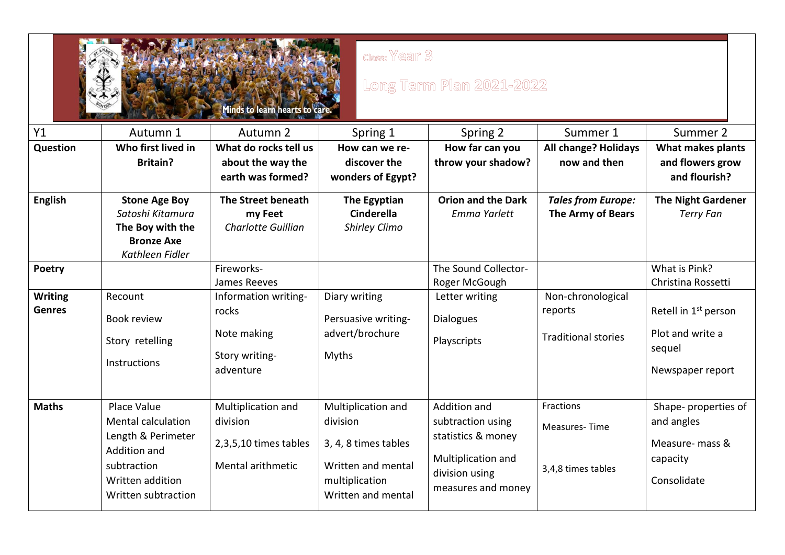| class: Year 3<br>Long Term Plan 2021-2022<br>inds to learn hearts to <b>t</b> |                                                                                                                                          |                                                                              |                                                                                                                      |                                                                                                                       |                                                            |                                                                                    |  |  |
|-------------------------------------------------------------------------------|------------------------------------------------------------------------------------------------------------------------------------------|------------------------------------------------------------------------------|----------------------------------------------------------------------------------------------------------------------|-----------------------------------------------------------------------------------------------------------------------|------------------------------------------------------------|------------------------------------------------------------------------------------|--|--|
| Y1                                                                            | Autumn 1                                                                                                                                 | Autumn 2                                                                     | Spring 1                                                                                                             | Spring 2                                                                                                              | Summer 1                                                   | Summer 2                                                                           |  |  |
| Question                                                                      | Who first lived in                                                                                                                       | What do rocks tell us                                                        | How can we re-                                                                                                       | How far can you                                                                                                       | <b>All change? Holidays</b>                                | What makes plants                                                                  |  |  |
|                                                                               | <b>Britain?</b>                                                                                                                          | about the way the<br>earth was formed?                                       | discover the<br>wonders of Egypt?                                                                                    | throw your shadow?                                                                                                    | now and then                                               | and flowers grow<br>and flourish?                                                  |  |  |
| <b>English</b>                                                                | <b>Stone Age Boy</b><br>Satoshi Kitamura<br>The Boy with the<br><b>Bronze Axe</b><br>Kathleen Fidler                                     | The Street beneath<br>my Feet<br>Charlotte Guillian                          | The Egyptian<br><b>Cinderella</b><br>Shirley Climo                                                                   | <b>Orion and the Dark</b><br>Emma Yarlett                                                                             | <b>Tales from Europe:</b><br><b>The Army of Bears</b>      | <b>The Night Gardener</b><br><b>Terry Fan</b>                                      |  |  |
| Poetry                                                                        |                                                                                                                                          | Fireworks-<br>James Reeves                                                   |                                                                                                                      | The Sound Collector-<br>Roger McGough                                                                                 |                                                            | What is Pink?<br>Christina Rossetti                                                |  |  |
| <b>Writing</b><br><b>Genres</b>                                               | Recount<br><b>Book review</b><br>Story retelling<br>Instructions                                                                         | Information writing-<br>rocks<br>Note making<br>Story writing-<br>adventure  | Diary writing<br>Persuasive writing-<br>advert/brochure<br>Myths                                                     | Letter writing<br><b>Dialogues</b><br>Playscripts                                                                     | Non-chronological<br>reports<br><b>Traditional stories</b> | Retell in 1 <sup>st</sup> person<br>Plot and write a<br>sequel<br>Newspaper report |  |  |
| <b>Maths</b>                                                                  | Place Value<br><b>Mental calculation</b><br>Length & Perimeter<br>Addition and<br>subtraction<br>Written addition<br>Written subtraction | Multiplication and<br>division<br>2,3,5,10 times tables<br>Mental arithmetic | Multiplication and<br>division<br>3, 4, 8 times tables<br>Written and mental<br>multiplication<br>Written and mental | Addition and<br>subtraction using<br>statistics & money<br>Multiplication and<br>division using<br>measures and money | Fractions<br><b>Measures-Time</b><br>3,4,8 times tables    | Shape- properties of<br>and angles<br>Measure- mass &<br>capacity<br>Consolidate   |  |  |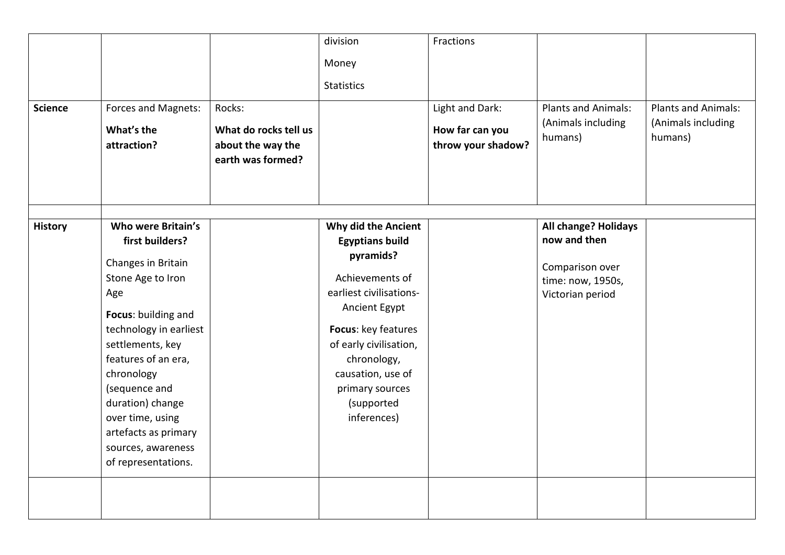| <b>Science</b> | Forces and Magnets:<br>What's the<br>attraction?                                                                                                                                                                                                                                                                                | Rocks:<br>What do rocks tell us<br>about the way the<br>earth was formed? | division<br>Money<br><b>Statistics</b>                                                                                                                                                                                                                         | Fractions<br>Light and Dark:<br>How far can you<br>throw your shadow? | <b>Plants and Animals:</b><br>(Animals including<br>humans)                                      | <b>Plants and Animals:</b><br>(Animals including<br>humans) |
|----------------|---------------------------------------------------------------------------------------------------------------------------------------------------------------------------------------------------------------------------------------------------------------------------------------------------------------------------------|---------------------------------------------------------------------------|----------------------------------------------------------------------------------------------------------------------------------------------------------------------------------------------------------------------------------------------------------------|-----------------------------------------------------------------------|--------------------------------------------------------------------------------------------------|-------------------------------------------------------------|
| <b>History</b> | Who were Britain's<br>first builders?<br>Changes in Britain<br>Stone Age to Iron<br>Age<br>Focus: building and<br>technology in earliest<br>settlements, key<br>features of an era,<br>chronology<br>(sequence and<br>duration) change<br>over time, using<br>artefacts as primary<br>sources, awareness<br>of representations. |                                                                           | Why did the Ancient<br><b>Egyptians build</b><br>pyramids?<br>Achievements of<br>earliest civilisations-<br>Ancient Egypt<br>Focus: key features<br>of early civilisation,<br>chronology,<br>causation, use of<br>primary sources<br>(supported<br>inferences) |                                                                       | All change? Holidays<br>now and then<br>Comparison over<br>time: now, 1950s,<br>Victorian period |                                                             |
|                |                                                                                                                                                                                                                                                                                                                                 |                                                                           |                                                                                                                                                                                                                                                                |                                                                       |                                                                                                  |                                                             |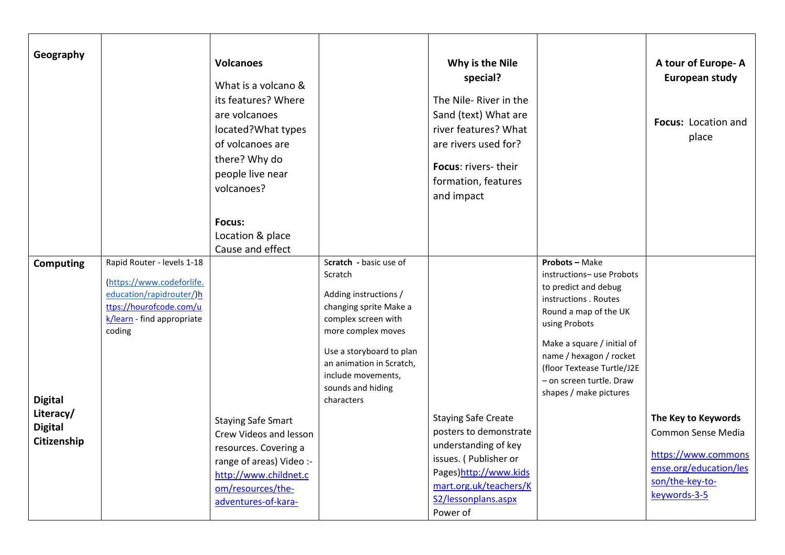| Geography                                                                        |                                                                                                                                                        | <b>Volcanoes</b><br>What is a volcano &<br>its features? Where<br>are volcanoes<br>located?What types<br>of volcanoes are<br>there? Why do<br>people live near<br>volcanoes?<br>Focus:<br>Location & place<br>Cause and effect |                                                                                                                                                                                                                                                    | Why is the Nile<br>special?<br>The Nile-River in the<br>Sand (text) What are<br>river features? What<br>are rivers used for?<br>Focus: rivers-their<br>formation, features<br>and impact    |                                                                                                                                                                                                                                                                                           | A tour of Europe-A<br>European study<br>Focus: Location and<br>place                                                          |
|----------------------------------------------------------------------------------|--------------------------------------------------------------------------------------------------------------------------------------------------------|--------------------------------------------------------------------------------------------------------------------------------------------------------------------------------------------------------------------------------|----------------------------------------------------------------------------------------------------------------------------------------------------------------------------------------------------------------------------------------------------|---------------------------------------------------------------------------------------------------------------------------------------------------------------------------------------------|-------------------------------------------------------------------------------------------------------------------------------------------------------------------------------------------------------------------------------------------------------------------------------------------|-------------------------------------------------------------------------------------------------------------------------------|
| <b>Computing</b><br><b>Digital</b><br>Literacy/<br><b>Digital</b><br>Citizenship | Rapid Router - levels 1-18<br>(https://www.codeforlife.<br>education/rapidrouter/)h<br>ttps://hourofcode.com/u<br>k/learn - find appropriate<br>coding | <b>Staying Safe Smart</b><br>Crew Videos and lesson<br>resources. Covering a<br>range of areas) Video :-<br>http://www.childnet.c<br>om/resources/the-<br>adventures-of-kara-                                                  | Scratch - basic use of<br>Scratch<br>Adding instructions /<br>changing sprite Make a<br>complex screen with<br>more complex moves<br>Use a storyboard to plan<br>an animation in Scratch,<br>include movements,<br>sounds and hiding<br>characters | <b>Staying Safe Create</b><br>posters to demonstrate<br>understanding of key<br>issues. (Publisher or<br>Pages)http://www.kids<br>mart.org.uk/teachers/K<br>S2/lessonplans.aspx<br>Power of | <b>Probots - Make</b><br>instructions-use Probots<br>to predict and debug<br>instructions . Routes<br>Round a map of the UK<br>using Probots<br>Make a square / initial of<br>name / hexagon / rocket<br>(floor Textease Turtle/J2E<br>- on screen turtle. Draw<br>shapes / make pictures | The Key to Keywords<br>Common Sense Media<br>https://www.commons<br>ense.org/education/les<br>son/the-key-to-<br>keywords-3-5 |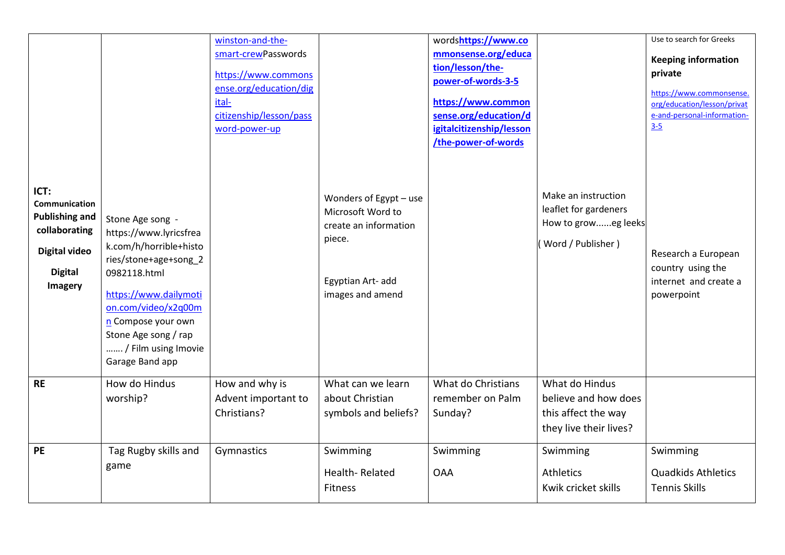| ICT:<br>Communication<br><b>Publishing and</b>                     | Stone Age song -                                                                                                                                                                                                                  | winston-and-the-<br>smart-crewPasswords<br>https://www.commons<br>ense.org/education/dig<br>ital-<br>citizenship/lesson/pass<br>word-power-up | Wonders of Egypt - use<br>Microsoft Word to<br>create an information | wordshttps://www.co<br>mmonsense.org/educa<br>tion/lesson/the-<br>power-of-words-3-5<br>https://www.common<br>sense.org/education/d<br>igitalcitizenship/lesson<br>/the-power-of-words | Make an instruction<br>leaflet for gardeners<br>How to groweg leeks                     | Use to search for Greeks<br><b>Keeping information</b><br>private<br>https://www.commonsense.<br>org/education/lesson/privat<br>e-and-personal-information-<br>$3 - 5$ |
|--------------------------------------------------------------------|-----------------------------------------------------------------------------------------------------------------------------------------------------------------------------------------------------------------------------------|-----------------------------------------------------------------------------------------------------------------------------------------------|----------------------------------------------------------------------|----------------------------------------------------------------------------------------------------------------------------------------------------------------------------------------|-----------------------------------------------------------------------------------------|------------------------------------------------------------------------------------------------------------------------------------------------------------------------|
| collaborating<br><b>Digital video</b><br><b>Digital</b><br>Imagery | https://www.lyricsfrea<br>k.com/h/horrible+histo<br>ries/stone+age+song_2<br>0982118.html<br>https://www.dailymoti<br>on.com/video/x2q00m<br>n Compose your own<br>Stone Age song / rap<br>/ Film using Imovie<br>Garage Band app |                                                                                                                                               | piece.<br>Egyptian Art- add<br>images and amend                      |                                                                                                                                                                                        | Word / Publisher)                                                                       | Research a European<br>country using the<br>internet and create a<br>powerpoint                                                                                        |
| <b>RE</b>                                                          | How do Hindus<br>worship?                                                                                                                                                                                                         | How and why is<br>Advent important to<br>Christians?                                                                                          | What can we learn<br>about Christian<br>symbols and beliefs?         | What do Christians<br>remember on Palm<br>Sunday?                                                                                                                                      | What do Hindus<br>believe and how does<br>this affect the way<br>they live their lives? |                                                                                                                                                                        |
| <b>PE</b>                                                          | Tag Rugby skills and<br>game                                                                                                                                                                                                      | Gymnastics                                                                                                                                    | Swimming<br>Health-Related<br><b>Fitness</b>                         | Swimming<br><b>OAA</b>                                                                                                                                                                 | Swimming<br><b>Athletics</b><br>Kwik cricket skills                                     | Swimming<br><b>Quadkids Athletics</b><br><b>Tennis Skills</b>                                                                                                          |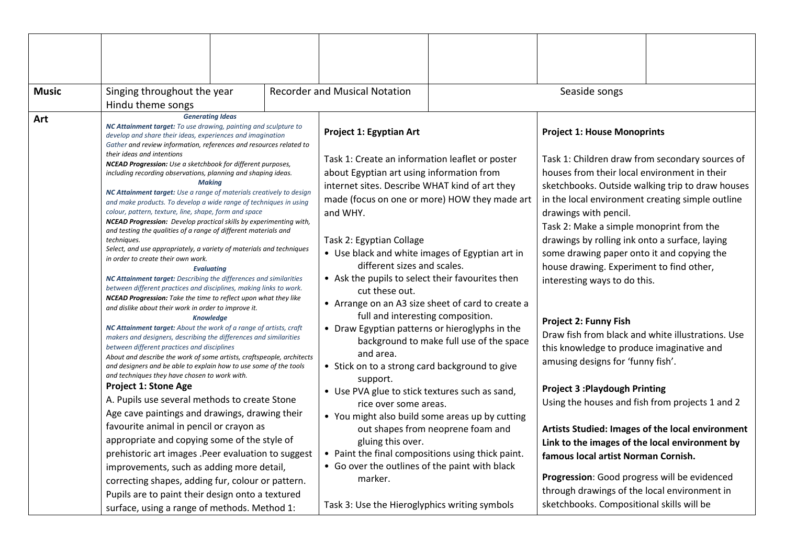| <b>Music</b>                                                                                                                                                                                                                                                                                                                                                                                                                                                                                                                                                                                                                                                    | Singing throughout the year                                                                                                                                                                                                                                                                                                                                                                                                                                                                                                         |                                                                                                                                                                                  |  | <b>Recorder and Musical Notation</b>                                                                                                                                                                    |                                                                                         | Seaside songs                                                                                                                                                                             |  |
|-----------------------------------------------------------------------------------------------------------------------------------------------------------------------------------------------------------------------------------------------------------------------------------------------------------------------------------------------------------------------------------------------------------------------------------------------------------------------------------------------------------------------------------------------------------------------------------------------------------------------------------------------------------------|-------------------------------------------------------------------------------------------------------------------------------------------------------------------------------------------------------------------------------------------------------------------------------------------------------------------------------------------------------------------------------------------------------------------------------------------------------------------------------------------------------------------------------------|----------------------------------------------------------------------------------------------------------------------------------------------------------------------------------|--|---------------------------------------------------------------------------------------------------------------------------------------------------------------------------------------------------------|-----------------------------------------------------------------------------------------|-------------------------------------------------------------------------------------------------------------------------------------------------------------------------------------------|--|
|                                                                                                                                                                                                                                                                                                                                                                                                                                                                                                                                                                                                                                                                 | Hindu theme songs                                                                                                                                                                                                                                                                                                                                                                                                                                                                                                                   |                                                                                                                                                                                  |  |                                                                                                                                                                                                         |                                                                                         |                                                                                                                                                                                           |  |
| Art                                                                                                                                                                                                                                                                                                                                                                                                                                                                                                                                                                                                                                                             | <b>Generating Ideas</b><br>NC Attainment target: To use drawing, painting and sculpture to<br>develop and share their ideas, experiences and imagination<br>Gather and review information, references and resources related to<br>their ideas and intentions<br>NCEAD Progression: Use a sketchbook for different purposes,<br>including recording observations, planning and shaping ideas.                                                                                                                                        |                                                                                                                                                                                  |  | Project 1: Egyptian Art<br>Task 1: Create an information leaflet or poster<br>about Egyptian art using information from                                                                                 |                                                                                         | <b>Project 1: House Monoprints</b><br>Task 1: Children draw from secondary sources of<br>houses from their local environment in their                                                     |  |
| <b>Making</b><br>NC Attainment target: Use a range of materials creatively to design<br>and make products. To develop a wide range of techniques in using<br>colour, pattern, texture, line, shape, form and space<br><b>NCEAD Progression:</b> Develop practical skills by experimenting with,<br>and testing the qualities of a range of different materials and<br>techniques.<br>Select, and use appropriately, a variety of materials and techniques<br>in order to create their own work.<br><b>Evaluating</b><br>NC Attainment target: Describing the differences and similarities<br>between different practices and disciplines, making links to work. |                                                                                                                                                                                                                                                                                                                                                                                                                                                                                                                                     | internet sites. Describe WHAT kind of art they<br>made (focus on one or more) HOW they made art<br>and WHY.                                                                      |  | sketchbooks. Outside walking trip to draw houses<br>in the local environment creating simple outline<br>drawings with pencil.<br>Task 2: Make a simple monoprint from the                               |                                                                                         |                                                                                                                                                                                           |  |
|                                                                                                                                                                                                                                                                                                                                                                                                                                                                                                                                                                                                                                                                 |                                                                                                                                                                                                                                                                                                                                                                                                                                                                                                                                     | Task 2: Egyptian Collage<br>• Use black and white images of Egyptian art in<br>different sizes and scales.<br>• Ask the pupils to select their favourites then<br>cut these out. |  | drawings by rolling ink onto a surface, laying<br>some drawing paper onto it and copying the<br>house drawing. Experiment to find other,<br>interesting ways to do this.                                |                                                                                         |                                                                                                                                                                                           |  |
|                                                                                                                                                                                                                                                                                                                                                                                                                                                                                                                                                                                                                                                                 | NCEAD Progression: Take the time to reflect upon what they like<br>and dislike about their work in order to improve it.<br><b>Knowledge</b><br>NC Attainment target: About the work of a range of artists, craft<br>makers and designers, describing the differences and similarities<br>between different practices and disciplines<br>About and describe the work of some artists, craftspeople, architects<br>and designers and be able to explain how to use some of the tools<br>and techniques they have chosen to work with. |                                                                                                                                                                                  |  | • Arrange on an A3 size sheet of card to create a<br>full and interesting composition.<br>• Draw Egyptian patterns or hieroglyphs in the<br>and area.<br>• Stick on to a strong card background to give | background to make full use of the space                                                | <b>Project 2: Funny Fish</b><br>Draw fish from black and white illustrations. Use<br>this knowledge to produce imaginative and<br>amusing designs for 'funny fish'.                       |  |
|                                                                                                                                                                                                                                                                                                                                                                                                                                                                                                                                                                                                                                                                 | <b>Project 1: Stone Age</b>                                                                                                                                                                                                                                                                                                                                                                                                                                                                                                         | A. Pupils use several methods to create Stone<br>Age cave paintings and drawings, drawing their<br>favourite animal in pencil or crayon as                                       |  | support.<br>• Use PVA glue to stick textures such as sand,<br>rice over some areas.<br>• You might also build some areas up by cutting                                                                  | <b>Project 3: Playdough Printing</b><br>Using the houses and fish from projects 1 and 2 |                                                                                                                                                                                           |  |
|                                                                                                                                                                                                                                                                                                                                                                                                                                                                                                                                                                                                                                                                 | appropriate and copying some of the style of<br>prehistoric art images .Peer evaluation to suggest<br>improvements, such as adding more detail,                                                                                                                                                                                                                                                                                                                                                                                     |                                                                                                                                                                                  |  | out shapes from neoprene foam and<br>gluing this over.<br>• Paint the final compositions using thick paint.<br>• Go over the outlines of the paint with black<br>marker.                                |                                                                                         | Artists Studied: Images of the local environment<br>Link to the images of the local environment by<br>famous local artist Norman Cornish.<br>Progression: Good progress will be evidenced |  |
|                                                                                                                                                                                                                                                                                                                                                                                                                                                                                                                                                                                                                                                                 | correcting shapes, adding fur, colour or pattern.<br>Pupils are to paint their design onto a textured<br>surface, using a range of methods. Method 1:                                                                                                                                                                                                                                                                                                                                                                               |                                                                                                                                                                                  |  | Task 3: Use the Hieroglyphics writing symbols                                                                                                                                                           |                                                                                         | through drawings of the local environment in<br>sketchbooks. Compositional skills will be                                                                                                 |  |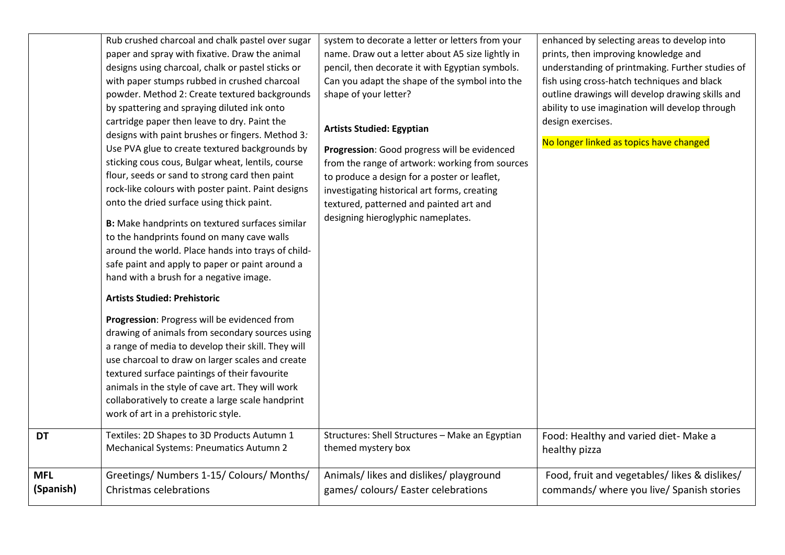|            | Rub crushed charcoal and chalk pastel over sugar<br>paper and spray with fixative. Draw the animal<br>designs using charcoal, chalk or pastel sticks or<br>with paper stumps rubbed in crushed charcoal<br>powder. Method 2: Create textured backgrounds<br>by spattering and spraying diluted ink onto<br>cartridge paper then leave to dry. Paint the<br>designs with paint brushes or fingers. Method 3:<br>Use PVA glue to create textured backgrounds by<br>sticking cous cous, Bulgar wheat, lentils, course<br>flour, seeds or sand to strong card then paint<br>rock-like colours with poster paint. Paint designs<br>onto the dried surface using thick paint.<br>B: Make handprints on textured surfaces similar<br>to the handprints found on many cave walls<br>around the world. Place hands into trays of child-<br>safe paint and apply to paper or paint around a<br>hand with a brush for a negative image.<br><b>Artists Studied: Prehistoric</b><br>Progression: Progress will be evidenced from<br>drawing of animals from secondary sources using<br>a range of media to develop their skill. They will<br>use charcoal to draw on larger scales and create<br>textured surface paintings of their favourite<br>animals in the style of cave art. They will work<br>collaboratively to create a large scale handprint<br>work of art in a prehistoric style. | system to decorate a letter or letters from your<br>name. Draw out a letter about A5 size lightly in<br>pencil, then decorate it with Egyptian symbols.<br>Can you adapt the shape of the symbol into the<br>shape of your letter?<br><b>Artists Studied: Egyptian</b><br>Progression: Good progress will be evidenced<br>from the range of artwork: working from sources<br>to produce a design for a poster or leaflet,<br>investigating historical art forms, creating<br>textured, patterned and painted art and<br>designing hieroglyphic nameplates. | enhanced by selecting areas to develop into<br>prints, then improving knowledge and<br>understanding of printmaking. Further studies of<br>fish using cross-hatch techniques and black<br>outline drawings will develop drawing skills and<br>ability to use imagination will develop through<br>design exercises.<br>No longer linked as topics have changed |
|------------|-----------------------------------------------------------------------------------------------------------------------------------------------------------------------------------------------------------------------------------------------------------------------------------------------------------------------------------------------------------------------------------------------------------------------------------------------------------------------------------------------------------------------------------------------------------------------------------------------------------------------------------------------------------------------------------------------------------------------------------------------------------------------------------------------------------------------------------------------------------------------------------------------------------------------------------------------------------------------------------------------------------------------------------------------------------------------------------------------------------------------------------------------------------------------------------------------------------------------------------------------------------------------------------------------------------------------------------------------------------------------------------|------------------------------------------------------------------------------------------------------------------------------------------------------------------------------------------------------------------------------------------------------------------------------------------------------------------------------------------------------------------------------------------------------------------------------------------------------------------------------------------------------------------------------------------------------------|---------------------------------------------------------------------------------------------------------------------------------------------------------------------------------------------------------------------------------------------------------------------------------------------------------------------------------------------------------------|
| <b>DT</b>  | Textiles: 2D Shapes to 3D Products Autumn 1                                                                                                                                                                                                                                                                                                                                                                                                                                                                                                                                                                                                                                                                                                                                                                                                                                                                                                                                                                                                                                                                                                                                                                                                                                                                                                                                       | Structures: Shell Structures - Make an Egyptian                                                                                                                                                                                                                                                                                                                                                                                                                                                                                                            | Food: Healthy and varied diet- Make a                                                                                                                                                                                                                                                                                                                         |
|            | <b>Mechanical Systems: Pneumatics Autumn 2</b>                                                                                                                                                                                                                                                                                                                                                                                                                                                                                                                                                                                                                                                                                                                                                                                                                                                                                                                                                                                                                                                                                                                                                                                                                                                                                                                                    | themed mystery box                                                                                                                                                                                                                                                                                                                                                                                                                                                                                                                                         | healthy pizza                                                                                                                                                                                                                                                                                                                                                 |
| <b>MFL</b> | Greetings/ Numbers 1-15/ Colours/ Months/                                                                                                                                                                                                                                                                                                                                                                                                                                                                                                                                                                                                                                                                                                                                                                                                                                                                                                                                                                                                                                                                                                                                                                                                                                                                                                                                         | Animals/ likes and dislikes/ playground                                                                                                                                                                                                                                                                                                                                                                                                                                                                                                                    | Food, fruit and vegetables/ likes & dislikes/                                                                                                                                                                                                                                                                                                                 |
| (Spanish)  | Christmas celebrations                                                                                                                                                                                                                                                                                                                                                                                                                                                                                                                                                                                                                                                                                                                                                                                                                                                                                                                                                                                                                                                                                                                                                                                                                                                                                                                                                            | games/colours/Easter celebrations                                                                                                                                                                                                                                                                                                                                                                                                                                                                                                                          | commands/ where you live/ Spanish stories                                                                                                                                                                                                                                                                                                                     |